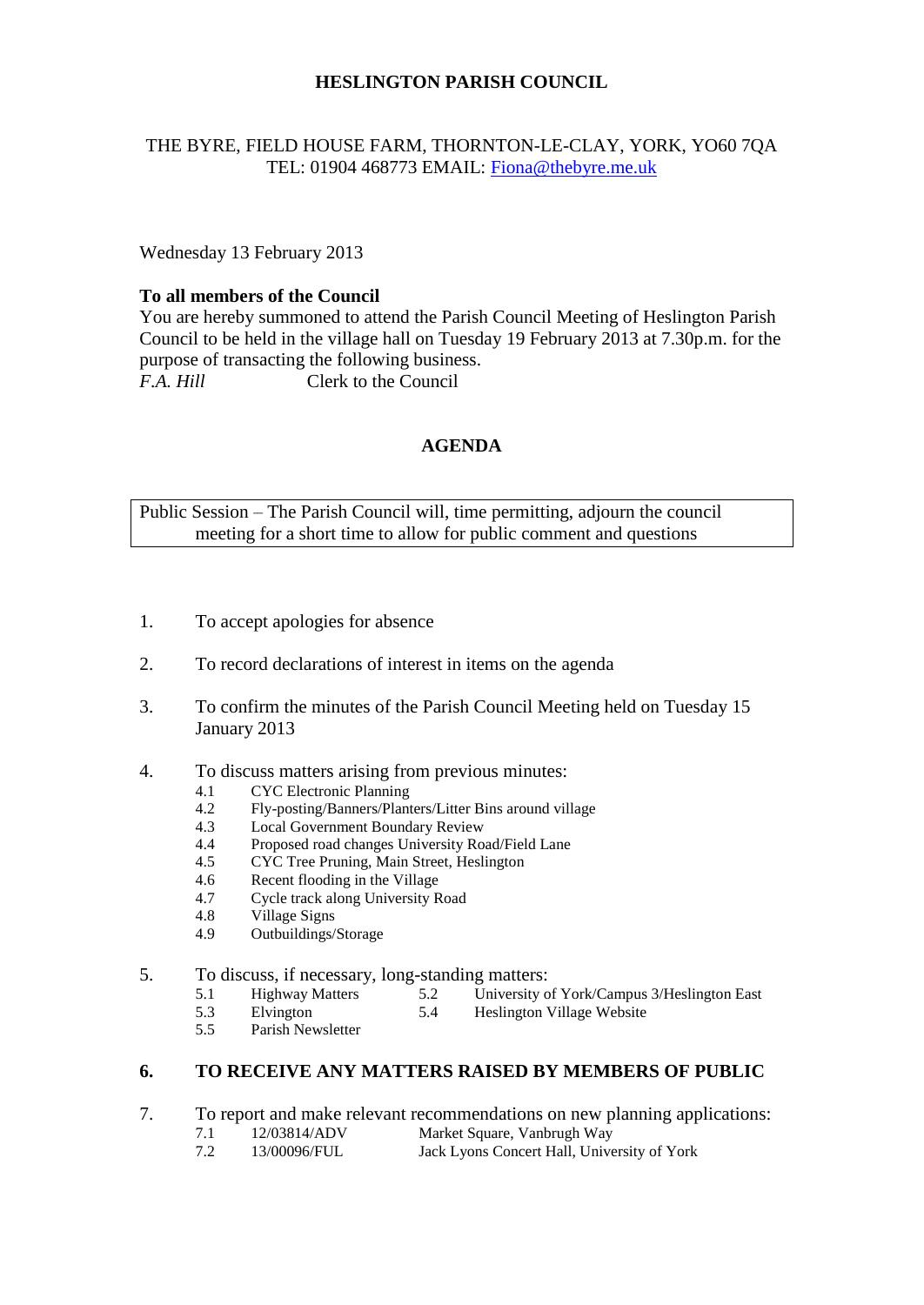## **HESLINGTON PARISH COUNCIL**

### THE BYRE, FIELD HOUSE FARM, THORNTON-LE-CLAY, YORK, YO60 7QA TEL: 01904 468773 EMAIL: [Fiona@thebyre.me.uk](mailto:Fiona@thebyre.me.uk)

Wednesday 13 February 2013

### **To all members of the Council**

You are hereby summoned to attend the Parish Council Meeting of Heslington Parish Council to be held in the village hall on Tuesday 19 February 2013 at 7.30p.m. for the purpose of transacting the following business. *F.A. Hill* Clerk to the Council

## **AGENDA**

Public Session – The Parish Council will, time permitting, adjourn the council meeting for a short time to allow for public comment and questions

- 1. To accept apologies for absence
- 2. To record declarations of interest in items on the agenda
- 3. To confirm the minutes of the Parish Council Meeting held on Tuesday 15 January 2013
- 4. To discuss matters arising from previous minutes:
	- 4.1 CYC Electronic Planning
	- 4.2 Fly-posting/Banners/Planters/Litter Bins around village
	- 4.3 Local Government Boundary Review
	- 4.4 Proposed road changes University Road/Field Lane
	- 4.5 CYC Tree Pruning, Main Street, Heslington
	- 4.6 Recent flooding in the Village
	- 4.7 Cycle track along University Road
	- 4.8 Village Signs
	- 4.9 Outbuildings/Storage
- 5. To discuss, if necessary, long-standing matters:<br>5.1 Highway Matters 5.2 University of
	- 5.1 Highway Matters 5.2 University of York/Campus 3/Heslington East 5.3 Elvington  $5.4$  Heslington Village Website
		- Heslington Village Website
	- 5.5 Parish Newsletter

#### **6. TO RECEIVE ANY MATTERS RAISED BY MEMBERS OF PUBLIC**

- 7. To report and make relevant recommendations on new planning applications:
	- 7.1 12/03814/ADV Market Square, Vanbrugh Way<br>7.2 13/00096/FUL Jack Lyons Concert Hall, Unive
	- 7.2 13/00096/FUL Jack Lyons Concert Hall, University of York